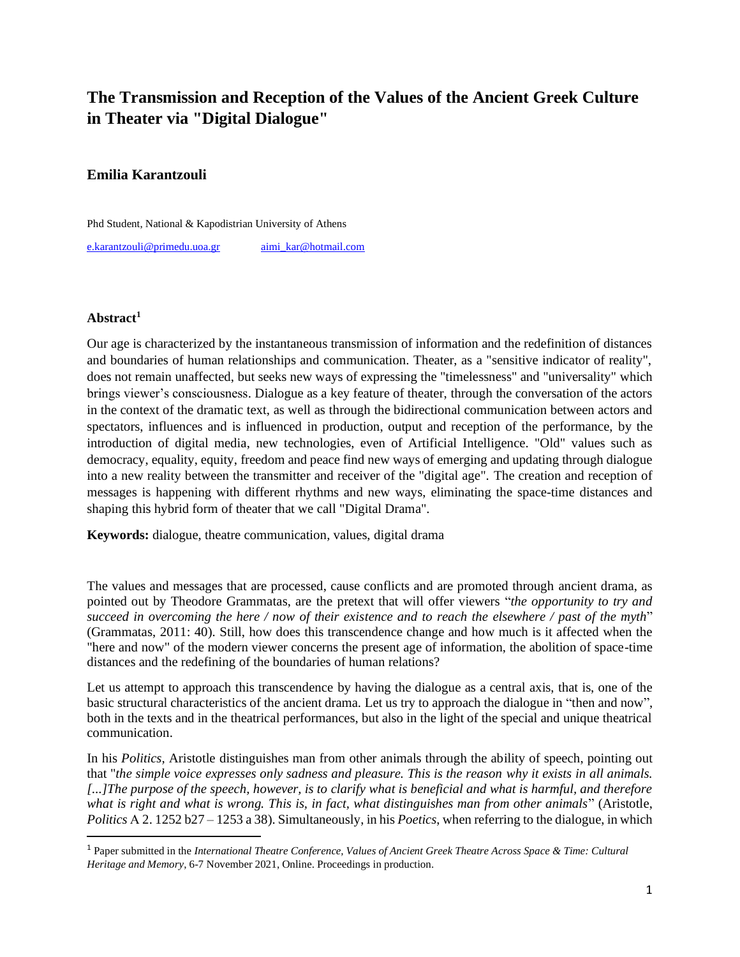# **The Transmission and Reception of the Values of the Ancient Greek Culture in Theater via "Digital Dialogue"**

## **Emilia Karantzouli**

Phd Student, National & Kapodistrian University of Athens

[e.karantzouli@primedu.uoa.gr](mailto:e.karantzouli@primedu.uoa.gr) [aimi\\_kar@hotmail.com](mailto:aimi_kar@hotmail.com)

### **Abstract<sup>1</sup>**

Our age is characterized by the instantaneous transmission of information and the redefinition of distances and boundaries of human relationships and communication. Theater, as a "sensitive indicator of reality", does not remain unaffected, but seeks new ways of expressing the "timelessness" and "universality" which brings viewer's consciousness. Dialogue as a key feature of theater, through the conversation of the actors in the context of the dramatic text, as well as through the bidirectional communication between actors and spectators, influences and is influenced in production, output and reception of the performance, by the introduction of digital media, new technologies, even of Artificial Intelligence. "Old" values such as democracy, equality, equity, freedom and peace find new ways of emerging and updating through dialogue into a new reality between the transmitter and receiver of the "digital age". The creation and reception of messages is happening with different rhythms and new ways, eliminating the space-time distances and shaping this hybrid form of theater that we call "Digital Drama".

**Keywords:** dialogue, theatre communication, values, digital drama

The values and messages that are processed, cause conflicts and are promoted through ancient drama, as pointed out by Theodore Grammatas, are the pretext that will offer viewers "*the opportunity to try and succeed in overcoming the here / now of their existence and to reach the elsewhere / past of the myth*" (Grammatas, 2011: 40). Still, how does this transcendence change and how much is it affected when the "here and now" of the modern viewer concerns the present age of information, the abolition of space-time distances and the redefining of the boundaries of human relations?

Let us attempt to approach this transcendence by having the dialogue as a central axis, that is, one of the basic structural characteristics of the ancient drama. Let us try to approach the dialogue in "then and now", both in the texts and in the theatrical performances, but also in the light of the special and unique theatrical communication.

In his *Politics,* Aristotle distinguishes man from other animals through the ability of speech, pointing out that "*the simple voice expresses only sadness and pleasure. This is the reason why it exists in all animals. [...]The purpose of the speech, however, is to clarify what is beneficial and what is harmful, and therefore what is right and what is wrong. This is, in fact, what distinguishes man from other animals*" (Aristotle, *Politics* Α 2. 1252 b27 – 1253 a 38). Simultaneously, in his *Poetics*, when referring to the dialogue, in which

<sup>1</sup> Paper submitted in the *International Theatre Conference, Values of Ancient Greek Theatre Across Space & Time: Cultural Heritage and Memory*, 6-7 November 2021, Online. Proceedings in production.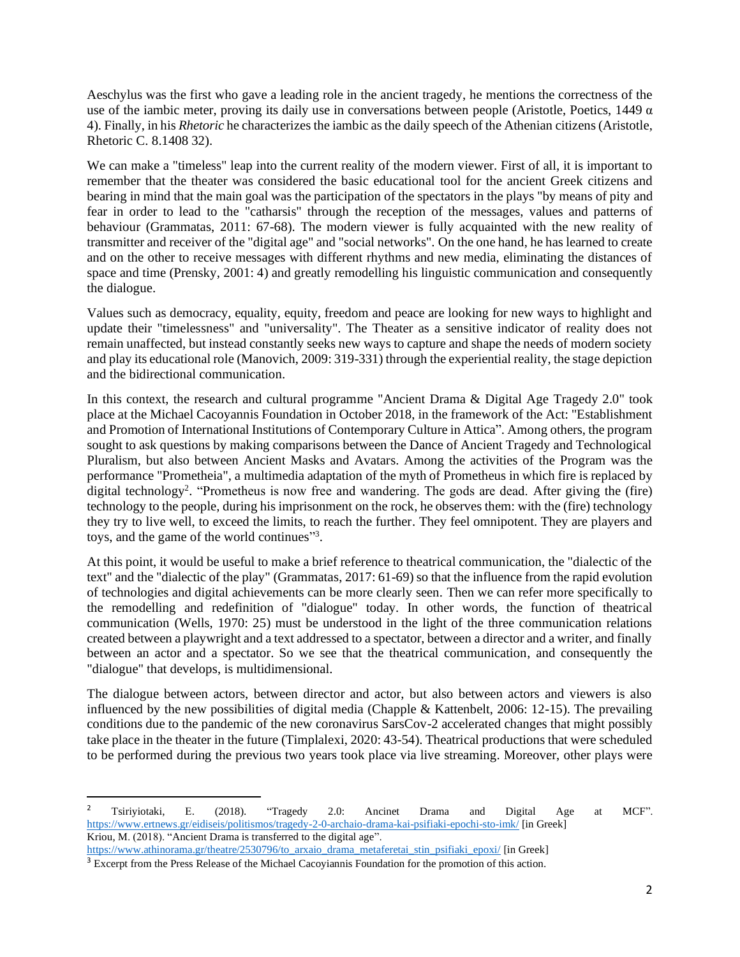Aeschylus was the first who gave a leading role in the ancient tragedy, he mentions the correctness of the use of the iambic meter, proving its daily use in conversations between people (Aristotle, Poetics, 1449  $\alpha$ ) 4). Finally, in his *Rhetoric* he characterizes the iambic as the daily speech of the Athenian citizens(Aristotle, Rhetoric C. 8.1408 32).

We can make a "timeless" leap into the current reality of the modern viewer. First of all, it is important to remember that the theater was considered the basic educational tool for the ancient Greek citizens and bearing in mind that the main goal was the participation of the spectators in the plays "by means of pity and fear in order to lead to the "catharsis" through the reception of the messages, values and patterns of behaviour (Grammatas, 2011: 67-68). The modern viewer is fully acquainted with the new reality of transmitter and receiver of the "digital age" and "social networks". On the one hand, he has learned to create and on the other to receive messages with different rhythms and new media, eliminating the distances of space and time (Prensky, 2001: 4) and greatly remodelling his linguistic communication and consequently the dialogue.

Values such as democracy, equality, equity, freedom and peace are looking for new ways to highlight and update their "timelessness" and "universality". The Theater as a sensitive indicator of reality does not remain unaffected, but instead constantly seeks new ways to capture and shape the needs of modern society and play its educational role (Manovich, 2009: 319-331) through the experiential reality, the stage depiction and the bidirectional communication.

In this context, the research and cultural programme "Ancient Drama & Digital Age Tragedy 2.0" took place at the Michael Cacoyannis Foundation in October 2018, in the framework of the Act: "Establishment and Promotion of International Institutions of Contemporary Culture in Attica". Among others, the program sought to ask questions by making comparisons between the Dance of Ancient Tragedy and Technological Pluralism, but also between Ancient Masks and Avatars. Among the activities of the Program was the performance "Prometheia", a multimedia adaptation of the myth of Prometheus in which fire is replaced by digital technology<sup>2</sup>. "Prometheus is now free and wandering. The gods are dead. After giving the (fire) technology to the people, during his imprisonment on the rock, he observes them: with the (fire) technology they try to live well, to exceed the limits, to reach the further. They feel omnipotent. They are players and toys, and the game of the world continues"3.

At this point, it would be useful to make a brief reference to theatrical communication, the "dialectic of the text" and the "dialectic of the play" (Grammatas, 2017: 61-69) so that the influence from the rapid evolution of technologies and digital achievements can be more clearly seen. Then we can refer more specifically to the remodelling and redefinition of "dialogue" today. In other words, the function of theatrical communication (Wells, 1970: 25) must be understood in the light of the three communication relations created between a playwright and a text addressed to a spectator, between a director and a writer, and finally between an actor and a spectator. So we see that the theatrical communication, and consequently the "dialogue" that develops, is multidimensional.

The dialogue between actors, between director and actor, but also between actors and viewers is also influenced by the new possibilities of digital media (Chapple & Kattenbelt, 2006: 12-15). The prevailing conditions due to the pandemic of the new coronavirus SarsCov-2 accelerated changes that might possibly take place in the theater in the future (Timplalexi, 2020: 43-54). Theatrical productions that were scheduled to be performed during the previous two years took place via live streaming. Moreover, other plays were

<sup>&</sup>lt;sup>2</sup> Tsiriyiotaki, E. (2018). "Tragedy 2.0: Ancinet Drama and Digital Age at MCF". <https://www.ertnews.gr/eidiseis/politismos/tragedy-2-0-archaio-drama-kai-psifiaki-epochi-sto-imk/> [in Greek] Kriou, M. (2018). "Ancient Drama is transferred to the digital age". [https://www.athinorama.gr/theatre/2530796/to\\_arxaio\\_drama\\_metaferetai\\_stin\\_psifiaki\\_epoxi/](https://www.athinorama.gr/theatre/2530796/to_arxaio_drama_metaferetai_stin_psifiaki_epoxi/) [in Greek]

<sup>3</sup> Excerpt from the Press Release of the Michael Cacoyiannis Foundation for the promotion of this action.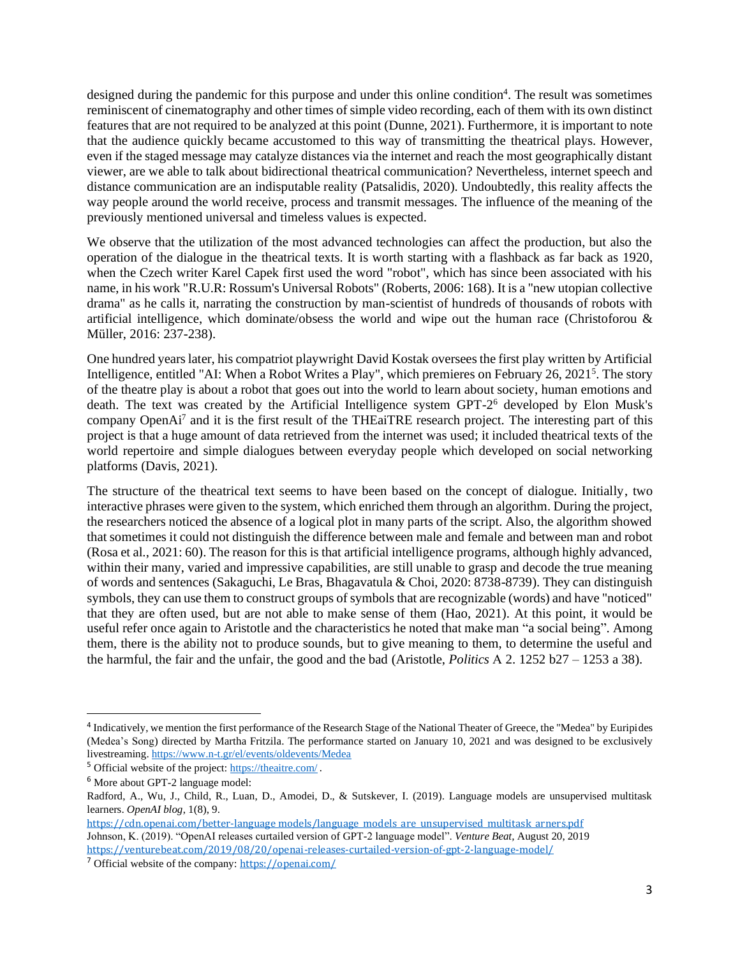designed during the pandemic for this purpose and under this online condition<sup>4</sup>. The result was sometimes reminiscent of cinematography and other times of simple video recording, each of them with its own distinct features that are not required to be analyzed at this point (Dunne, 2021). Furthermore, it is important to note that the audience quickly became accustomed to this way of transmitting the theatrical plays. However, even if the staged message may catalyze distances via the internet and reach the most geographically distant viewer, are we able to talk about bidirectional theatrical communication? Nevertheless, internet speech and distance communication are an indisputable reality (Patsalidis, 2020). Undoubtedly, this reality affects the way people around the world receive, process and transmit messages. The influence of the meaning of the previously mentioned universal and timeless values is expected.

We observe that the utilization of the most advanced technologies can affect the production, but also the operation of the dialogue in the theatrical texts. It is worth starting with a flashback as far back as 1920, when the Czech writer Karel Capek first used the word "robot", which has since been associated with his name, in his work "R.U.R: Rossum's Universal Robots" (Roberts, 2006: 168). It is a "new utopian collective drama" as he calls it, narrating the construction by man-scientist of hundreds of thousands of robots with artificial intelligence, which dominate/obsess the world and wipe out the human race (Christoforou & Müller, 2016: 237-238).

One hundred years later, his compatriot playwright David Kostak oversees the first play written by Artificial Intelligence, entitled "AI: When a Robot Writes a Play", which premieres on February 26, 2021<sup>5</sup> . The story of the theatre play is about a robot that goes out into the world to learn about society, human emotions and death. The text was created by the Artificial Intelligence system GPT-2 <sup>6</sup> developed by Elon Musk's company OpenAi<sup>7</sup> and it is the first result of the THEaiTRE research project. The interesting part of this project is that a huge amount of data retrieved from the internet was used; it included theatrical texts of the world repertoire and simple dialogues between everyday people which developed on social networking platforms (Davis, 2021).

The structure of the theatrical text seems to have been based on the concept of dialogue. Initially, two interactive phrases were given to the system, which enriched them through an algorithm. During the project, the researchers noticed the absence of a logical plot in many parts of the script. Also, the algorithm showed that sometimes it could not distinguish the difference between male and female and between man and robot (Rosa et al., 2021: 60). The reason for this is that artificial intelligence programs, although highly advanced, within their many, varied and impressive capabilities, are still unable to grasp and decode the true meaning of words and sentences (Sakaguchi, Le Bras, Bhagavatula & Choi, 2020: 8738-8739). They can distinguish symbols, they can use them to construct groups of symbols that are recognizable (words) and have "noticed" that they are often used, but are not able to make sense of them (Hao, 2021). At this point, it would be useful refer once again to Aristotle and the characteristics he noted that make man "a social being". Among them, there is the ability not to produce sounds, but to give meaning to them, to determine the useful and the harmful, the fair and the unfair, the good and the bad (Aristotle, *Politics* Α 2. 1252 b27 – 1253 a 38).

<sup>&</sup>lt;sup>4</sup> Indicatively, we mention the first performance of the Research Stage of the National Theater of Greece, the "Medea" by Euripides (Medea's Song) directed by Martha Fritzila. The performance started on January 10, 2021 and was designed to be exclusively livestreaming. <https://www.n-t.gr/el/events/oldevents/Medea>

<sup>5</sup> Official website of the project: <https://theaitre.com/> .

<sup>6</sup> More about GPT-2 language model:

Radford, A., Wu, J., Child, R., Luan, D., Amodei, D., & Sutskever, I. (2019). Language models are unsupervised multitask learners. *OpenAI blog*, 1(8), 9.

[https://cdn.openai.com/better-language models/language\\_models\\_are\\_unsupervised\\_multitask\\_arners.pdf](https://cdn.openai.com/better-language%20models/language_models_are_unsupervised_multitask_arners.pdf) Johnson, K. (2019). "OpenAI releases curtailed version of GPT-2 language model". *Venture Beat,* August 20, 2019 <https://venturebeat.com/2019/08/20/openai-releases-curtailed-version-of-gpt-2-language-model/>

<sup>7</sup> Official website of the company: <https://openai.com/>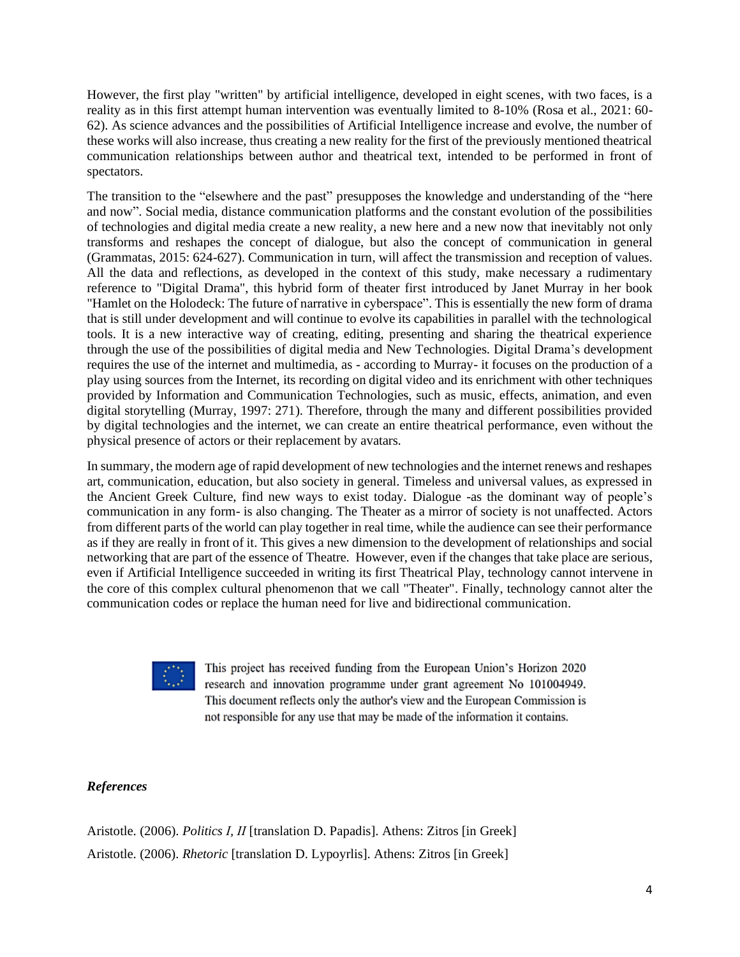However, the first play "written" by artificial intelligence, developed in eight scenes, with two faces, is a reality as in this first attempt human intervention was eventually limited to 8-10% (Rosa et al., 2021: 60- 62). As science advances and the possibilities of Artificial Intelligence increase and evolve, the number of these works will also increase, thus creating a new reality for the first of the previously mentioned theatrical communication relationships between author and theatrical text, intended to be performed in front of spectators.

The transition to the "elsewhere and the past" presupposes the knowledge and understanding of the "here and now". Social media, distance communication platforms and the constant evolution of the possibilities of technologies and digital media create a new reality, a new here and a new now that inevitably not only transforms and reshapes the concept of dialogue, but also the concept of communication in general (Grammatas, 2015: 624-627). Communication in turn, will affect the transmission and reception of values. All the data and reflections, as developed in the context of this study, make necessary a rudimentary reference to "Digital Drama", this hybrid form of theater first introduced by Janet Murray in her book "Hamlet on the Holodeck: The future of narrative in cyberspace". This is essentially the new form of drama that is still under development and will continue to evolve its capabilities in parallel with the technological tools. It is a new interactive way of creating, editing, presenting and sharing the theatrical experience through the use of the possibilities of digital media and New Technologies. Digital Drama's development requires the use of the internet and multimedia, as - according to Murray- it focuses on the production of a play using sources from the Internet, its recording on digital video and its enrichment with other techniques provided by Information and Communication Technologies, such as music, effects, animation, and even digital storytelling (Murray, 1997: 271). Therefore, through the many and different possibilities provided by digital technologies and the internet, we can create an entire theatrical performance, even without the physical presence of actors or their replacement by avatars.

In summary, the modern age of rapid development of new technologies and the internet renews and reshapes art, communication, education, but also society in general. Timeless and universal values, as expressed in the Ancient Greek Culture, find new ways to exist today. Dialogue -as the dominant way of people's communication in any form- is also changing. The Theater as a mirror of society is not unaffected. Actors from different parts of the world can play together in real time, while the audience can see their performance as if they are really in front of it. This gives a new dimension to the development of relationships and social networking that are part of the essence of Theatre. However, even if the changes that take place are serious, even if Artificial Intelligence succeeded in writing its first Theatrical Play, technology cannot intervene in the core of this complex cultural phenomenon that we call "Theater". Finally, technology cannot alter the communication codes or replace the human need for live and bidirectional communication.

This project has received funding from the European Union's Horizon 2020 research and innovation programme under grant agreement No 101004949. This document reflects only the author's view and the European Commission is not responsible for any use that may be made of the information it contains.

### *References*

Aristotle. (2006). *Politics Ι, ΙΙ* [translation D. Papadis]. Athens: Zitros [in Greek] Aristotle. (2006). *Rhetoric* [translation D. Lypoyrlis]. Athens: Zitros [in Greek]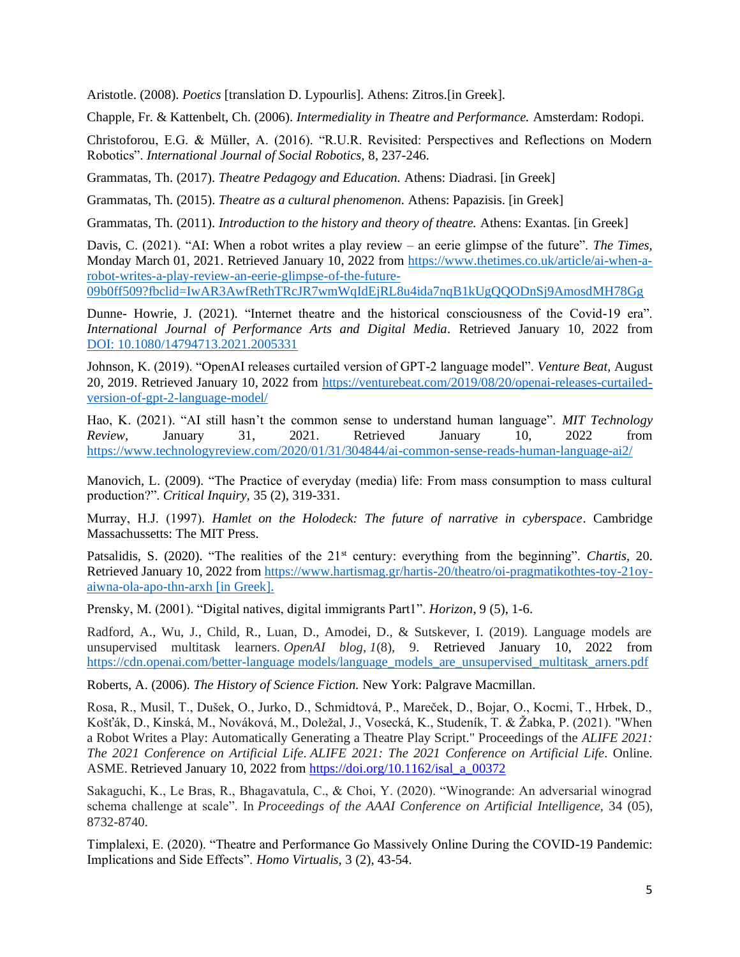Aristotle. (2008). *Poetics* [translation D. Lypourlis]. Athens: Zitros.[in Greek].

Chapple, Fr. & Kattenbelt, Ch. (2006). *Intermediality in Theatre and Performance.* Amsterdam: Rodopi.

Christoforou, E.G. & Müller, A. (2016). "R.U.R. Revisited: Perspectives and Reflections on Modern Robotics". *International Journal of Social Robotics,* 8, 237-246.

Grammatas, Th. (2017). *Theatre Pedagogy and Education.* Athens: Diadrasi. [in Greek]

Grammatas, Th. (2015). *Theatre as a cultural phenomenon.* Athens: Papazisis. [in Greek]

Grammatas, Th. (2011). *Introduction to the history and theory of theatre.* Athens: Exantas. [in Greek]

Davis, C. (2021). "AI: When a robot writes a play review – an eerie glimpse of the future". *The Times,*  Monday March 01, 2021. Retrieved January 10, 2022 from [https://www.thetimes.co.uk/article/ai-when-a](https://www.thetimes.co.uk/article/ai-when-a-robot-writes-a-play-review-an-eerie-glimpse-of-the-future-09b0ff509?fbclid=IwAR3AwfRethTRcJR7wmWqIdEjRL8u4ida7nqB1kUgQQODnSj9AmosdMH78Gg)[robot-writes-a-play-review-an-eerie-glimpse-of-the-future-](https://www.thetimes.co.uk/article/ai-when-a-robot-writes-a-play-review-an-eerie-glimpse-of-the-future-09b0ff509?fbclid=IwAR3AwfRethTRcJR7wmWqIdEjRL8u4ida7nqB1kUgQQODnSj9AmosdMH78Gg)

[09b0ff509?fbclid=IwAR3AwfRethTRcJR7wmWqIdEjRL8u4ida7nqB1kUgQQODnSj9AmosdMH78Gg](https://www.thetimes.co.uk/article/ai-when-a-robot-writes-a-play-review-an-eerie-glimpse-of-the-future-09b0ff509?fbclid=IwAR3AwfRethTRcJR7wmWqIdEjRL8u4ida7nqB1kUgQQODnSj9AmosdMH78Gg)

Dunne- Howrie, J. (2021). "Internet theatre and the historical consciousness of the Covid-19 era". *International Journal of Performance Arts and Digital Media.* Retrieved January 10, 2022 from DOI: [10.1080/14794713.2021.2005331](https://doi.org/10.1080/14794713.2021.2005331)

Johnson, K. (2019). "OpenAI releases curtailed version of GPT-2 language model". *Venture Beat,* August 20, 2019. Retrieved January 10, 2022 from [https://venturebeat.com/2019/08/20/openai-releases-curtailed](https://venturebeat.com/2019/08/20/openai-releases-curtailed-version-of-gpt-2-language-model/)[version-of-gpt-2-language-model/](https://venturebeat.com/2019/08/20/openai-releases-curtailed-version-of-gpt-2-language-model/)

Hao, K. (2021). "AI still hasn't the common sense to understand human language". *MIT Technology Review,* January 31, 2021. Retrieved January 10, 2022 from <https://www.technologyreview.com/2020/01/31/304844/ai-common-sense-reads-human-language-ai2/>

Manovich, L. (2009). "The Practice of everyday (media) life: From mass consumption to mass cultural production?". *Critical Inquiry,* 35 (2), 319-331.

Murray, Η.J. (1997). *Hamlet on the Holodeck: The future of narrative in cyberspace*. Cambridge Massachussetts: The MIT Press.

Patsalidis, S. (2020). "The realities of the 21<sup>st</sup> century: everything from the beginning". *Chartis*, 20. Retrieved January 10, 2022 from [https://www.hartismag.gr/hartis-20/theatro/oi-pragmatikothtes-toy-21oy](https://www.hartismag.gr/hartis-20/theatro/oi-pragmatikothtes-toy-21oy-aiwna-ola-apo-thn-arxh)[aiwna-ola-apo-thn-arxh](https://www.hartismag.gr/hartis-20/theatro/oi-pragmatikothtes-toy-21oy-aiwna-ola-apo-thn-arxh) [in Greek].

Prensky, M. (2001). "Digital natives, digital immigrants Part1". *Horizon*, 9 (5), 1-6.

Radford, A., Wu, J., Child, R., Luan, D., Amodei, D., & Sutskever, I. (2019). Language models are unsupervised multitask learners. *OpenAI blog*, *1*(8), 9. Retrieved January 10, 2022 from https://cdn.openai.com/better-language\_models/language\_models\_are\_unsupervised\_multitask\_arners.pdf

Roberts, A. (2006). *The History of Science Fiction.* New York: Palgrave Macmillan.

Rosa, R., Musil, T., Dušek, O., Jurko, D., Schmidtová, P., Mareček, D., Bojar, O., Kocmi, T., Hrbek, D., Košťák, D., Kinská, M., Nováková, M., Doležal, J., Vosecká, K., Studeník, T. & Žabka, P. (2021). "When a Robot Writes a Play: Automatically Generating a Theatre Play Script." Proceedings of the *ALIFE 2021: The 2021 Conference on Artificial Life*. *ALIFE 2021: The 2021 Conference on Artificial Life*. Online. ASME. Retrieved January 10, 2022 from [https://doi.org/10.1162/isal\\_a\\_00372](https://doi.org/10.1162/isal_a_00372)

Sakaguchi, K., Le Bras, R., Bhagavatula, C., & Choi, Y. (2020). "Winogrande: An adversarial winograd schema challenge at scale". In *Proceedings of the AAAI Conference on Artificial Intelligence,* 34 (05), 8732-8740.

Timplalexi, E. (2020). "Theatre and Performance Go Massively Online During the COVID-19 Pandemic: Implications and Side Effects". *Homo Virtualis,* 3 (2), 43-54.